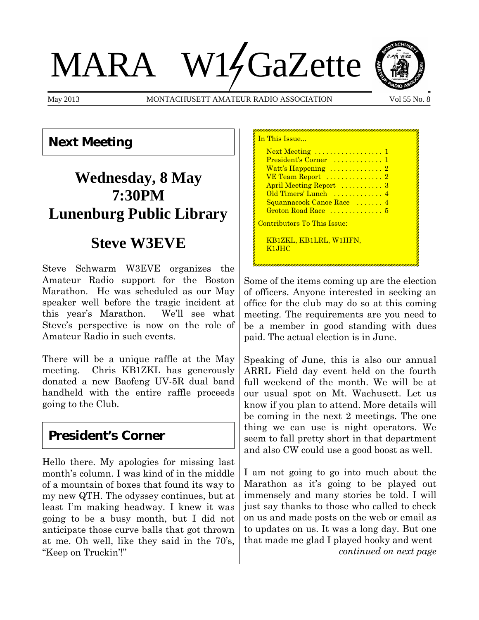# MARA W14GaZette



May 2013 MONTACHUSETT AMATEUR RADIO ASSOCIATION Vol 55 No. 8

#### **Next Meeting**

# **Wednesday, 8 May 7:30PM Lunenburg Public Library**

## **Steve W3EVE**

Steve Schwarm W3EVE organizes the Amateur Radio support for the Boston Marathon. He was scheduled as our May speaker well before the tragic incident at this year's Marathon. We'll see what Steve's perspective is now on the role of Amateur Radio in such events.

There will be a unique raffle at the May meeting. Chris KB1ZKL has generously donated a new Baofeng UV-5R dual band handheld with the entire raffle proceeds going to the Club.

## **President's Corner**

Hello there. My apologies for missing last month's column. I was kind of in the middle of a mountain of boxes that found its way to my new QTH. The odyssey continues, but at least I'm making headway. I knew it was going to be a busy month, but I did not anticipate those curve balls that got thrown at me. Oh well, like they said in the 70's, "Keep on Truckin'!"

| In This Issue…                                                                                                                                                                                    |  |
|---------------------------------------------------------------------------------------------------------------------------------------------------------------------------------------------------|--|
| Next Meeting  1<br>President's Corner  1<br>Watt's Happening $\ldots \ldots \ldots \ldots 2$<br>VE Team Report  2<br>April Meeting Report  3<br>Old Timers' Lunch  4<br>Squannacook Canoe Race  4 |  |
| Groton Road Race  5<br><u> Contributors To This Issue:</u><br>KB1ZKL, KB1LRL, W1HFN,                                                                                                              |  |
| K1JHC                                                                                                                                                                                             |  |
|                                                                                                                                                                                                   |  |

Some of the items coming up are the election of officers. Anyone interested in seeking an office for the club may do so at this coming meeting. The requirements are you need to be a member in good standing with dues paid. The actual election is in June.

Speaking of June, this is also our annual ARRL Field day event held on the fourth full weekend of the month. We will be at our usual spot on Mt. Wachusett. Let us know if you plan to attend. More details will be coming in the next 2 meetings. The one thing we can use is night operators. We seem to fall pretty short in that department and also CW could use a good boost as well.

I am not going to go into much about the Marathon as it's going to be played out immensely and many stories be told. I will just say thanks to those who called to check on us and made posts on the web or email as to updates on us. It was a long day. But one that made me glad I played hooky and went *continued on next page*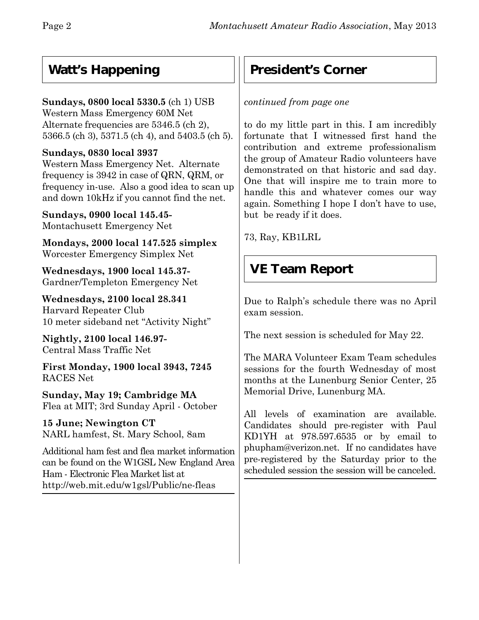## **Watt's Happening**

#### **Sundays, 0800 local 5330.5** (ch 1) USB

Western Mass Emergency 60M Net Alternate frequencies are 5346.5 (ch 2), 5366.5 (ch 3), 5371.5 (ch 4), and 5403.5 (ch 5).

#### **Sundays, 0830 local 3937**

Western Mass Emergency Net. Alternate frequency is 3942 in case of QRN, QRM, or frequency in-use. Also a good idea to scan up and down 10kHz if you cannot find the net.

**Sundays, 0900 local 145.45-** Montachusett Emergency Net

**Mondays, 2000 local 147.525 simplex** Worcester Emergency Simplex Net

**Wednesdays, 1900 local 145.37-** Gardner/Templeton Emergency Net

**Wednesdays, 2100 local 28.341** Harvard Repeater Club 10 meter sideband net "Activity Night"

**Nightly, 2100 local 146.97-** Central Mass Traffic Net

**First Monday, 1900 local 3943, 7245** RACES Net

**Sunday, May 19; Cambridge MA** Flea at MIT; 3rd Sunday April - October

**15 June; Newington CT** NARL hamfest, St. Mary School, 8am

Additional ham fest and flea market information can be found on the W1GSL New England Area Ham - Electronic Flea Market list at http://web.mit.edu/w1gsl/Public/ne-fleas

## **President's Corner**

*continued from page one*

to do my little part in this. I am incredibly fortunate that I witnessed first hand the contribution and extreme professionalism the group of Amateur Radio volunteers have demonstrated on that historic and sad day. One that will inspire me to train more to handle this and whatever comes our way again. Something I hope I don't have to use, but be ready if it does.

73, Ray, KB1LRL

# **VE Team Report**

Due to Ralph's schedule there was no April exam session.

The next session is scheduled for May 22.

The MARA Volunteer Exam Team schedules sessions for the fourth Wednesday of most months at the Lunenburg Senior Center, 25 Memorial Drive, Lunenburg MA.

All levels of examination are available. Candidates should pre-register with Paul KD1YH at 978.597.6535 or by email to phupham@verizon.net.If no candidates have pre-registered by the Saturday prior to the scheduled session the session will be canceled.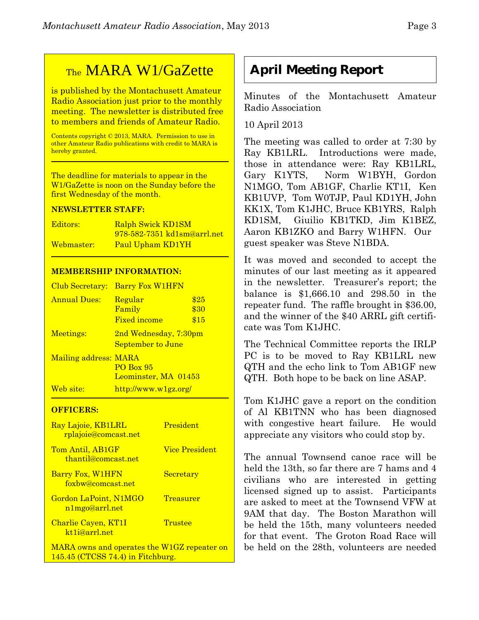## TheMARA W1/GaZette

is published by the Montachusett Amateur Radio Association just prior to the monthly meeting. The newsletter is distributed free to members and friends of Amateur Radio.

Contents copyright © 2013, MARA. Permission to use in other Amateur Radio publications with credit to MARA is hereby granted.

The deadline for materials to appear in the W1/GaZette is noon on the Sunday before the first Wednesday of the month.

#### **NEWSLETTER STAFF:**

| Editors:   | Ralph Swick KD1SM                  |
|------------|------------------------------------|
|            | <u>978-582-7351 kd1sm@arrl.net</u> |
| Webmaster: | Paul Upham KD1YH                   |

#### **MEMBERSHIP INFORMATION:**

| Club Secretary:       | <b>Barry Fox W1HFN</b>                     |                      |
|-----------------------|--------------------------------------------|----------------------|
| <b>Annual Dues:</b>   | Regular<br>Family<br><b>Fixed income</b>   | \$25<br>\$30<br>\$15 |
| Meetings:             | 2nd Wednesday, 7:30pm<br>September to June |                      |
| Mailing address: MARA | <b>PO Box 95</b><br>Leominster, MA 01453   |                      |
| Web site:             | http://www.w1gz.org/                       |                      |

#### **OFFICERS:**

| Ray Lajoie, KB1LRL<br>rplajoie@comcast.net        | <b>President</b>      |
|---------------------------------------------------|-----------------------|
| Tom Antil, AB1GF<br>thantil@comcast.net           | <b>Vice President</b> |
| Barry Fox, W1HFN<br>foxbw@comcast.net             | <b>Secretary</b>      |
| Gordon LaPoint, N1MGO<br>n1mgo@arrl.net           | Treasurer             |
| Charlie Cayen, KT1I<br>kt <sub>1</sub> i@arrl.net | Trustee               |
| MARA owns and operates the W1GZ repeater on       |                       |

145.45 (CTCSS 74.4) in Fitchburg.

#### **April Meeting Report**

Minutes of the Montachusett Amateur Radio Association

#### 10 April 2013

The meeting was called to order at 7:30 by Ray KB1LRL. Introductions were made, those in attendance were: Ray KB1LRL, Gary K1YTS, Norm W1BYH, Gordon N1MGO, Tom AB1GF, Charlie KT1I, Ken KB1UVP, Tom W0TJP, Paul KD1YH, John KK1X, Tom K1JHC, Bruce KB1YRS, Ralph KD1SM, Giuilio KB1TKD, Jim K1BEZ, Aaron KB1ZKO and Barry W1HFN. Our guest speaker was Steve N1BDA.

It was moved and seconded to accept the minutes of our last meeting as it appeared in the newsletter. Treasurer's report; the balance is \$1,666.10 and 298.50 in the repeater fund. The raffle brought in \$36.00, and the winner of the \$40 ARRL gift certificate was Tom K1JHC.

The Technical Committee reports the IRLP PC is to be moved to Ray KB1LRL new QTH and the echo link to Tom AB1GF new QTH. Both hope to be back on line ASAP.

Tom K1JHC gave a report on the condition of Al KB1TNN who has been diagnosed with congestive heart failure. He would appreciate any visitors who could stop by.

The annual Townsend canoe race will be held the 13th, so far there are 7 hams and 4 civilians who are interested in getting licensed signed up to assist. Participants are asked to meet at the Townsend VFW at 9AM that day. The Boston Marathon will be held the 15th, many volunteers needed for that event. The Groton Road Race will be held on the 28th, volunteers are needed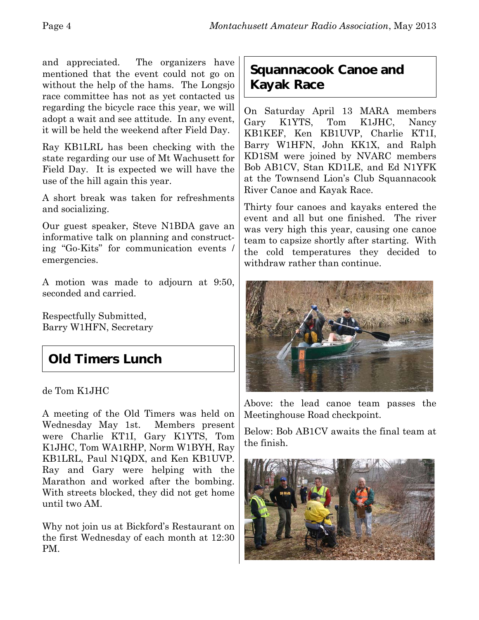and appreciated. The organizers have mentioned that the event could not go on without the help of the hams. The Longsjo race committee has not as yet contacted us regarding the bicycle race this year, we will adopt a wait and see attitude. In any event, it will be held the weekend after Field Day.

Ray KB1LRL has been checking with the state regarding our use of Mt Wachusett for Field Day. It is expected we will have the use of the hill again this year.

A short break was taken for refreshments and socializing.

Our guest speaker, Steve N1BDA gave an informative talk on planning and constructing "Go-Kits" for communication events / emergencies.

A motion was made to adjourn at 9:50, seconded and carried.

Respectfully Submitted, Barry W1HFN, Secretary

## **Old Timers Lunch**

de Tom K1JHC

A meeting of the Old Timers was held on Wednesday May 1st. Members present were Charlie KT1I, Gary K1YTS, Tom K1JHC, Tom WA1RHP, Norm W1BYH, Ray KB1LRL, Paul N1QDX, and Ken KB1UVP. Ray and Gary were helping with the Marathon and worked after the bombing. With streets blocked, they did not get home until two AM.

Why not join us at Bickford's Restaurant on the first Wednesday of each month at 12:30 PM.

#### **Squannacook Canoe and Kayak Race**

On Saturday April 13 MARA members Gary K1YTS, Tom K1JHC, Nancy KB1KEF, Ken KB1UVP, Charlie KT1I, Barry W1HFN, John KK1X, and Ralph KD1SM were joined by NVARC members Bob AB1CV, Stan KD1LE, and Ed N1YFK at the Townsend Lion's Club Squannacook River Canoe and Kayak Race.

Thirty four canoes and kayaks entered the event and all but one finished. The river was very high this year, causing one canoe team to capsize shortly after starting. With the cold temperatures they decided to withdraw rather than continue.



Above: the lead canoe team passes the Meetinghouse Road checkpoint.

Below: Bob AB1CV awaits the final team at the finish.

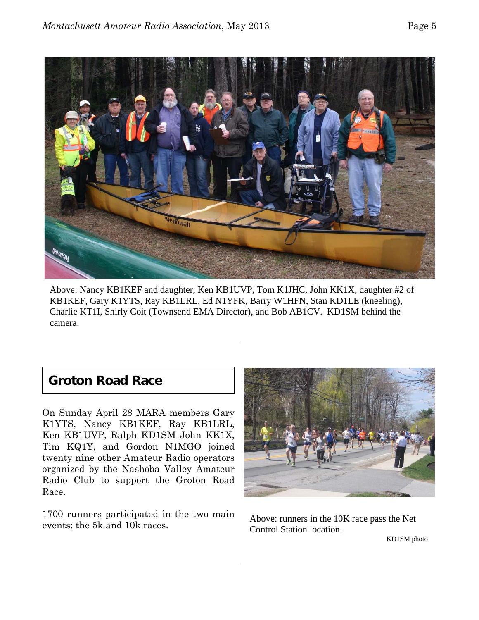

Above: Nancy KB1KEF and daughter, Ken KB1UVP, Tom K1JHC, John KK1X, daughter #2 of KB1KEF, Gary K1YTS, Ray KB1LRL, Ed N1YFK, Barry W1HFN, Stan KD1LE (kneeling), Charlie KT1I, Shirly Coit (Townsend EMA Director), and Bob AB1CV. KD1SM behind the camera.

#### **Groton Road Race**

On Sunday April 28 MARA members Gary K1YTS, Nancy KB1KEF, Ray KB1LRL, Ken KB1UVP, Ralph KD1SM John KK1X, Tim KQ1Y, and Gordon N1MGO joined twenty nine other Amateur Radio operators organized by the Nashoba Valley Amateur Radio Club to support the Groton Road Race.

1700 runners participated in the two main events; the 5k and 10k races.



Above: runners in the 10K race pass the Net Control Station location.

KD1SM photo